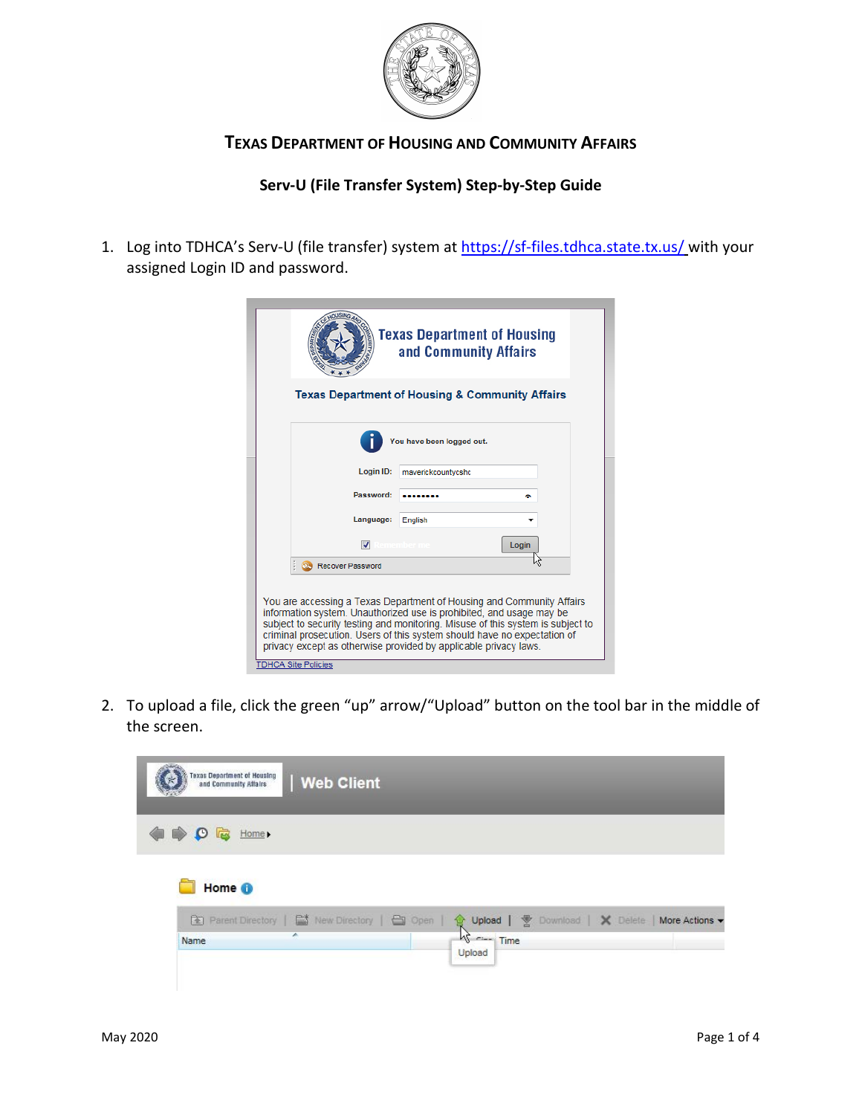

## **TEXAS DEPARTMENT OF HOUSING AND COMMUNITY AFFAIRS**

## **Serv-U (File Transfer System) Step-by-Step Guide**

1. Log into TDHCA's Serv-U (file transfer) system a[t https://sf-files.tdhca.state.tx.us/](https://sf-files.tdhca.state.tx.us/) with your assigned Login ID and password.

|                             | Texas Department of Housing<br>and Community Affairs                                                                                                                                                                                                                                                                                                                             |
|-----------------------------|----------------------------------------------------------------------------------------------------------------------------------------------------------------------------------------------------------------------------------------------------------------------------------------------------------------------------------------------------------------------------------|
|                             | <b>Texas Department of Housing &amp; Community Affairs</b>                                                                                                                                                                                                                                                                                                                       |
|                             | You have been logged out.                                                                                                                                                                                                                                                                                                                                                        |
| Login ID:                   | maverickcountycshc                                                                                                                                                                                                                                                                                                                                                               |
| Password:                   |                                                                                                                                                                                                                                                                                                                                                                                  |
| Language:                   | English                                                                                                                                                                                                                                                                                                                                                                          |
| V                           | Login                                                                                                                                                                                                                                                                                                                                                                            |
| <b>Co.</b> Recover Password |                                                                                                                                                                                                                                                                                                                                                                                  |
| <b>TDHCA Site Policies</b>  | You are accessing a Texas Department of Housing and Community Affairs<br>information system. Unauthorized use is prohibited, and usage may be<br>subject to security testing and monitoring. Misuse of this system is subject to<br>criminal prosecution. Users of this system should have no expectation of<br>privacy except as otherwise provided by applicable privacy laws. |

2. To upload a file, click the green "up" arrow/"Upload" button on the tool bar in the middle of the screen.

| <b>Texas Department of Housing</b><br>and Community Affairs | Web Client                                        |                                                                                                                                                                                                                                                                                                                                                                                                                                                                                                                                              |                                |                |
|-------------------------------------------------------------|---------------------------------------------------|----------------------------------------------------------------------------------------------------------------------------------------------------------------------------------------------------------------------------------------------------------------------------------------------------------------------------------------------------------------------------------------------------------------------------------------------------------------------------------------------------------------------------------------------|--------------------------------|----------------|
| Home ><br>LEN<br>O                                          |                                                   |                                                                                                                                                                                                                                                                                                                                                                                                                                                                                                                                              |                                |                |
| Home <sup>O</sup>                                           |                                                   |                                                                                                                                                                                                                                                                                                                                                                                                                                                                                                                                              |                                |                |
|                                                             | Re Parent Directory   Est New Directory   En Open |                                                                                                                                                                                                                                                                                                                                                                                                                                                                                                                                              | Upload   5 Download   X Delete | More Actions v |
| Name                                                        | ×                                                 | $\begin{array}{c}\n\begin{array}{c}\n\text{or } \\ \text{if } \\ \text{if } \\ \text{if } \\ \text{if } \\ \text{if } \\ \text{if } \\ \text{if } \\ \text{if } \\ \text{if } \\ \text{if } \\ \text{if } \\ \text{if } \\ \text{if } \\ \text{if } \\ \text{if } \\ \text{if } \\ \text{if } \\ \text{if } \\ \text{if } \\ \text{if } \\ \text{if } \\ \text{if } \\ \text{if } \\ \text{if } \\ \text{if } \\ \text{if } \\ \text{if } \\ \text{if } \\ \text{if } \\ \text{if } \\ \text{if } \\ \text{if } \\ \text{if } \\ $<br>Upload |                                |                |
|                                                             |                                                   |                                                                                                                                                                                                                                                                                                                                                                                                                                                                                                                                              |                                |                |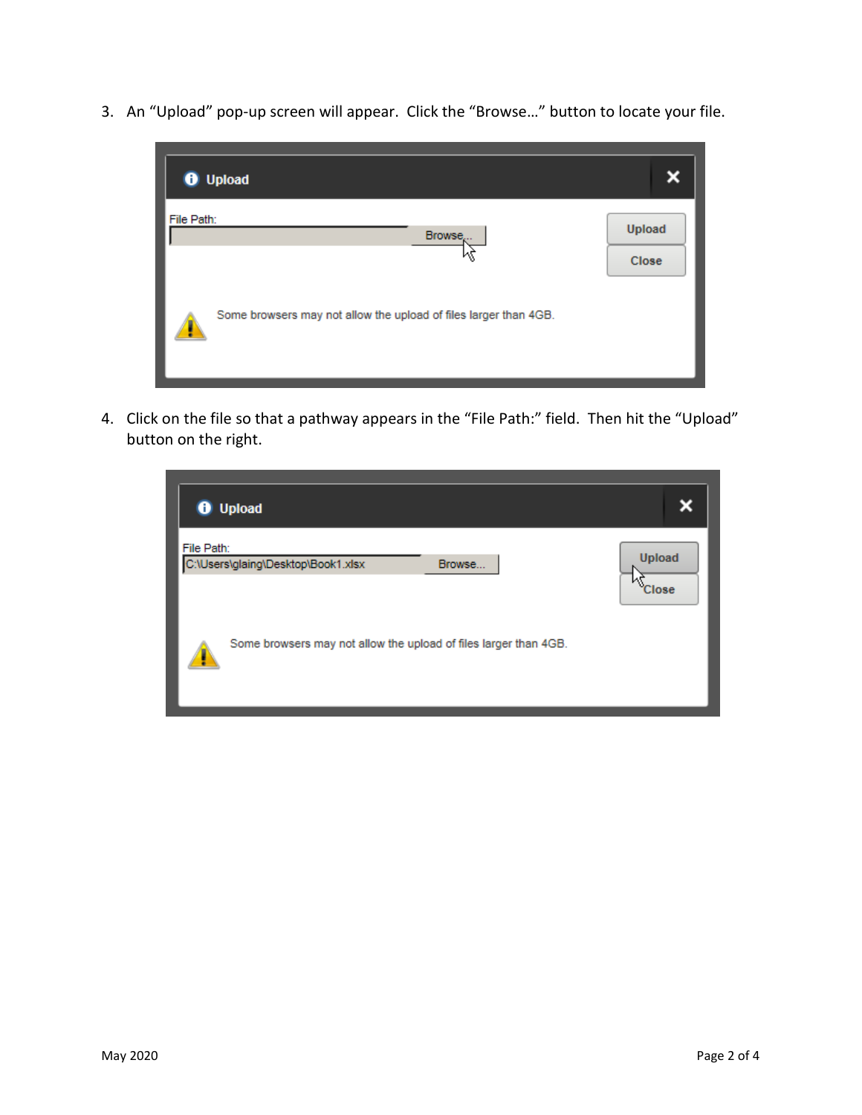3. An "Upload" pop-up screen will appear. Click the "Browse…" button to locate your file.



4. Click on the file so that a pathway appears in the "File Path:" field. Then hit the "Upload" button on the right.

| <b>O</b> Upload                                                  |        |               |
|------------------------------------------------------------------|--------|---------------|
| File Path:<br>C:\Users\glaing\Desktop\Book1.xlsx                 | Browse | <b>Upload</b> |
| Some browsers may not allow the upload of files larger than 4GB. |        | Close         |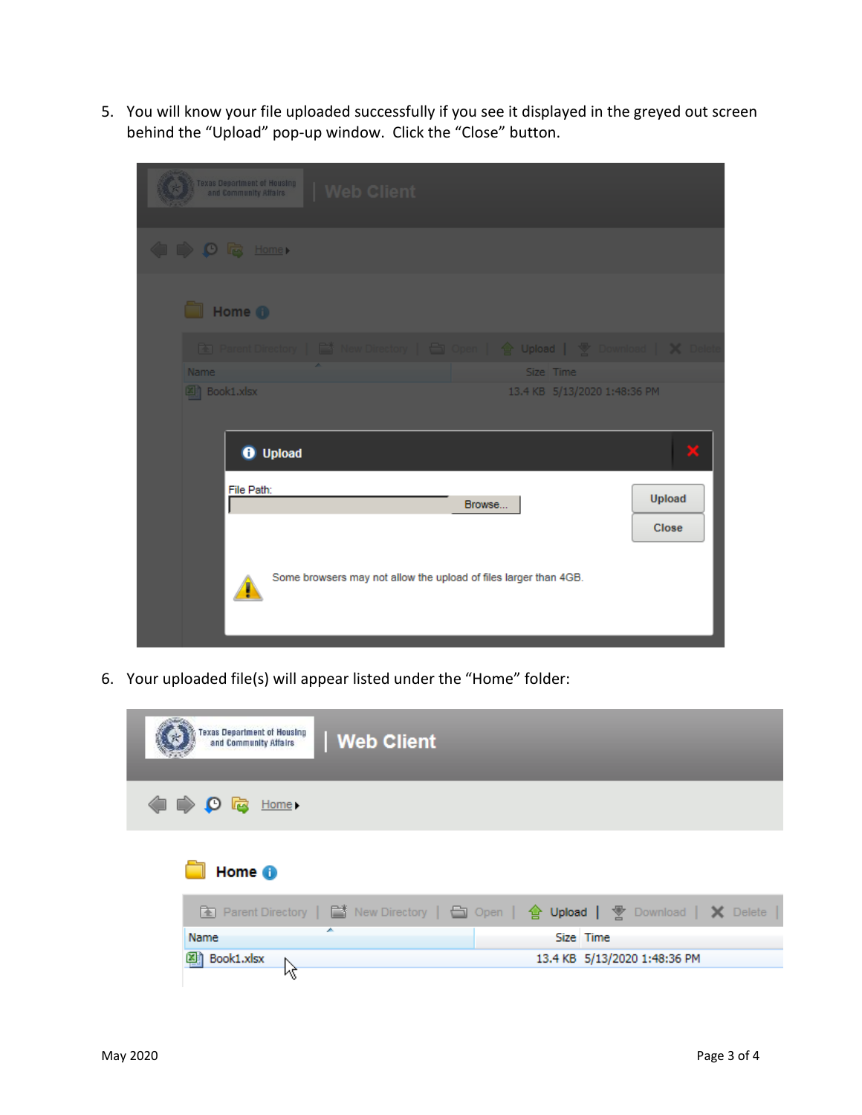5. You will know your file uploaded successfully if you see it displayed in the greyed out screen behind the "Upload" pop-up window. Click the "Close" button.

| Texas Department of Housing<br>and Community Affairs<br>  Web Client      |        |
|---------------------------------------------------------------------------|--------|
| O Q Home                                                                  |        |
| Home <sup>O</sup>                                                         |        |
| Re Parent Directory   New Directory<br>□ Open   含 Upload   零 Download   ※ |        |
| <b>Name</b><br>Size Time                                                  |        |
| 图 Book1.xlsx<br>13.4 KB 5/13/2020 1:48:36 PM                              |        |
|                                                                           |        |
| <b>O</b> Upload                                                           |        |
| File Path:<br>Browse                                                      | Upload |
|                                                                           | Close  |
| Some browsers may not allow the upload of files larger than 4GB.          |        |

6. Your uploaded file(s) will appear listed under the "Home" folder:

| <b>Texas Department of Housing</b><br>  Web Client<br>and Community Affairs |                                                                                    |
|-----------------------------------------------------------------------------|------------------------------------------------------------------------------------|
| <b>O B</b> Home                                                             |                                                                                    |
| Home <sup>6</sup>                                                           |                                                                                    |
|                                                                             | The Parent Directory   ■ New Directory   ■ Open   會 Upload   予 Download   X Delete |
| ×<br>Name                                                                   | Size Time                                                                          |
| 图 Book1.xlsx                                                                | 13.4 KB 5/13/2020 1:48:36 PM                                                       |